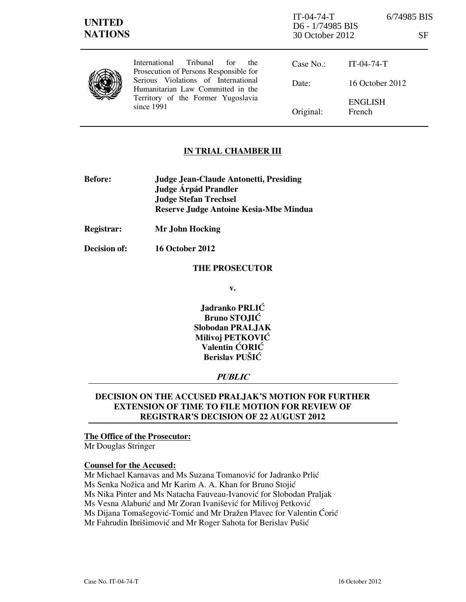| <b>UNITED</b><br><b>NATIONS</b> |                                                                                                                                                                                                                            | $IT-04-74-T$<br>D6 - 1/74985 BIS<br>30 October 2012 |                          | 6/74985 BIS<br>SF |
|---------------------------------|----------------------------------------------------------------------------------------------------------------------------------------------------------------------------------------------------------------------------|-----------------------------------------------------|--------------------------|-------------------|
|                                 | <b>Tribunal</b><br>International<br>for<br>the<br>Prosecution of Persons Responsible for<br>Serious Violations of International<br>Humanitarian Law Committed in the<br>Territory of the Former Yugoslavia<br>since $1991$ | Case No.:                                           | $IT-04-74-T$             |                   |
|                                 |                                                                                                                                                                                                                            | Date:                                               | 16 October 2012          |                   |
|                                 |                                                                                                                                                                                                                            | Original:                                           | <b>ENGLISH</b><br>French |                   |

### **IN TRIAL CHAMBER III**

- **Before: Judge Jean-Claude Antonetti, Presiding Judge Árpád Prandler Judge Stefan Trechsel Reserve Judge Antoine Kesia-Mbe Mindua**
- **Registrar: Mr John Hocking**

**Decision of: 16 October 2012** 

#### **THE PROSECUTOR**

**v.** 

**Jadranko PRLIĆ Bruno STOJIĆ Slobodan PRALJAK Milivoj PETKOVIĆ Valentin CORIC Berislav PUŠIĆ** 

# **PUBLIC**

# **DECISION ON THE ACCUSED PRALJAK'S MOTION FOR FURTHER EXTENSION OF TIME TO FILE MOTION FOR REVIEW OF REGISTRAR'S DECISION OF 22 AUGUST 2012**

# **The Office of the Prosecutor:**

Mr Douglas Stringer

### **Counsel for the Accused:**

Mr Michael Karnavas and Ms Suzana Tomanović for Jadranko Prlić Ms Senka Nožica and Mr Karim A. A. Khan for Bruno Stojić Ms Nika Pinter and Ms Natacha Fauveau-Ivanović for Slobodan Praljak Ms Vesna Alaburić and Mr Zoran Ivanišević for Milivoj Petković Ms Dijana Tomašegović-Tomić and Mr Dražen Plavec for Valentin Ćorić Mr Fahrudin Ibrišimović and Mr Roger Sahota for Berislav Pušić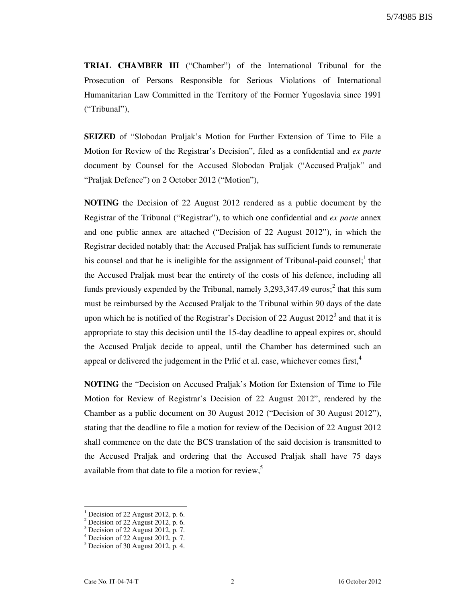**TRIAL CHAMBER III** ("Chamber") of the International Tribunal for the Prosecution of Persons Responsible for Serious Violations of International Humanitarian Law Committed in the Territory of the Former Yugoslavia since 1991 ("Tribunal"),

**SEIZED** of "Slobodan Praljak's Motion for Further Extension of Time to File a Motion for Review of the Registrar's Decision", filed as a confidential and *ex parte* document by Counsel for the Accused Slobodan Praljak ("Accused Praljak" and "Praljak Defence") on 2 October 2012 ("Motion"),

**NOTING** the Decision of 22 August 2012 rendered as a public document by the Registrar of the Tribunal ("Registrar"), to which one confidential and *ex parte* annex and one public annex are attached ("Decision of 22 August 2012"), in which the Registrar decided notably that: the Accused Praljak has sufficient funds to remunerate his counsel and that he is ineligible for the assignment of Tribunal-paid counsel;<sup>1</sup> that the Accused Praljak must bear the entirety of the costs of his defence, including all funds previously expended by the Tribunal, namely 3,293,347.49 euros;<sup>2</sup> that this sum must be reimbursed by the Accused Praljak to the Tribunal within 90 days of the date upon which he is notified of the Registrar's Decision of 22 August  $2012<sup>3</sup>$  and that it is appropriate to stay this decision until the 15-day deadline to appeal expires or, should the Accused Praljak decide to appeal, until the Chamber has determined such an appeal or delivered the judgement in the Prlić et al. case, whichever comes first,  $4\overline{ }$ 

**NOTING** the "Decision on Accused Praljak's Motion for Extension of Time to File Motion for Review of Registrar's Decision of 22 August 2012", rendered by the Chamber as a public document on 30 August 2012 ("Decision of 30 August 2012"), stating that the deadline to file a motion for review of the Decision of 22 August 2012 shall commence on the date the BCS translation of the said decision is transmitted to the Accused Praljak and ordering that the Accused Praljak shall have 75 days available from that date to file a motion for review,<sup>5</sup>

 $\overline{a}$ 

<sup>1</sup> Decision of 22 August 2012, p. 6.

 $2^2$  Decision of 22 August 2012, p. 6.

<sup>&</sup>lt;sup>3</sup> Decision of 22 August 2012, p. 7.

 $4$  Decision of 22 August 2012, p. 7.

 $<sup>5</sup>$  Decision of 30 August 2012, p. 4.</sup>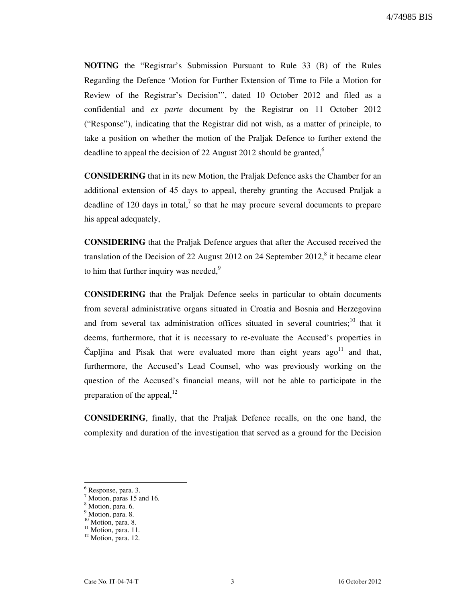**NOTING** the "Registrar's Submission Pursuant to Rule 33 (B) of the Rules Regarding the Defence 'Motion for Further Extension of Time to File a Motion for Review of the Registrar's Decision'", dated 10 October 2012 and filed as a confidential and *ex parte* document by the Registrar on 11 October 2012 ("Response"), indicating that the Registrar did not wish, as a matter of principle, to take a position on whether the motion of the Praljak Defence to further extend the deadline to appeal the decision of 22 August 2012 should be granted, $<sup>6</sup>$ </sup>

**CONSIDERING** that in its new Motion, the Praljak Defence asks the Chamber for an additional extension of 45 days to appeal, thereby granting the Accused Praljak a deadline of 120 days in total,<sup>7</sup> so that he may procure several documents to prepare his appeal adequately,

**CONSIDERING** that the Praljak Defence argues that after the Accused received the translation of the Decision of 22 August 2012 on 24 September 2012, $^8$  it became clear to him that further inquiry was needed, $9$ 

**CONSIDERING** that the Praljak Defence seeks in particular to obtain documents from several administrative organs situated in Croatia and Bosnia and Herzegovina and from several tax administration offices situated in several countries;<sup>10</sup> that it deems, furthermore, that it is necessary to re-evaluate the Accused's properties in Čapljina and Pisak that were evaluated more than eight years ago<sup>11</sup> and that, furthermore, the Accused's Lead Counsel, who was previously working on the question of the Accused's financial means, will not be able to participate in the preparation of the appeal, $^{12}$ 

**CONSIDERING**, finally, that the Praljak Defence recalls, on the one hand, the complexity and duration of the investigation that served as a ground for the Decision

 $\overline{a}$ 

<sup>6</sup> Response, para. 3.

<sup>&</sup>lt;sup>7</sup> Motion, paras 15 and 16.

<sup>8</sup> Motion, para. 6.

<sup>&</sup>lt;sup>9</sup> Motion, para. 8.

<sup>&</sup>lt;sup>10</sup> Motion, para. 8.

<sup>&</sup>lt;sup>11</sup> Motion, para. 11.

<sup>&</sup>lt;sup>12</sup> Motion, para. 12.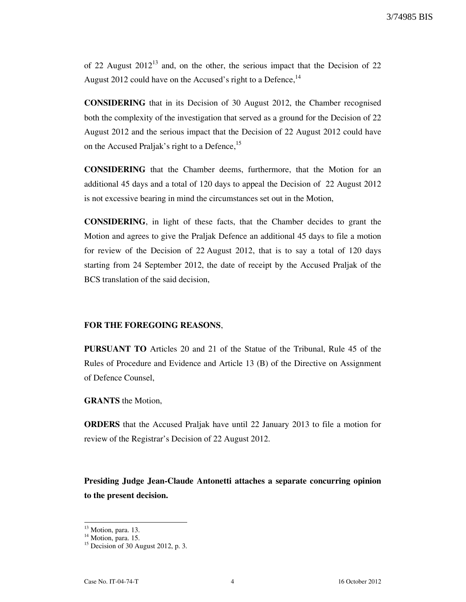of 22 August  $2012^{13}$  and, on the other, the serious impact that the Decision of 22 August 2012 could have on the Accused's right to a Defence,  $14$ 

**CONSIDERING** that in its Decision of 30 August 2012, the Chamber recognised both the complexity of the investigation that served as a ground for the Decision of 22 August 2012 and the serious impact that the Decision of 22 August 2012 could have on the Accused Praljak's right to a Defence,<sup>15</sup>

**CONSIDERING** that the Chamber deems, furthermore, that the Motion for an additional 45 days and a total of 120 days to appeal the Decision of 22 August 2012 is not excessive bearing in mind the circumstances set out in the Motion,

**CONSIDERING**, in light of these facts, that the Chamber decides to grant the Motion and agrees to give the Praljak Defence an additional 45 days to file a motion for review of the Decision of 22 August 2012, that is to say a total of 120 days starting from 24 September 2012, the date of receipt by the Accused Praljak of the BCS translation of the said decision,

# **FOR THE FOREGOING REASONS**,

**PURSUANT TO** Articles 20 and 21 of the Statue of the Tribunal, Rule 45 of the Rules of Procedure and Evidence and Article 13 (B) of the Directive on Assignment of Defence Counsel,

#### **GRANTS** the Motion,

**ORDERS** that the Accused Praljak have until 22 January 2013 to file a motion for review of the Registrar's Decision of 22 August 2012.

**Presiding Judge Jean-Claude Antonetti attaches a separate concurring opinion to the present decision.** 

 $\overline{a}$ 

<sup>&</sup>lt;sup>13</sup> Motion, para. 13.

<sup>&</sup>lt;sup>14</sup> Motion, para. 15.

 $15$  Decision of 30 August 2012, p. 3.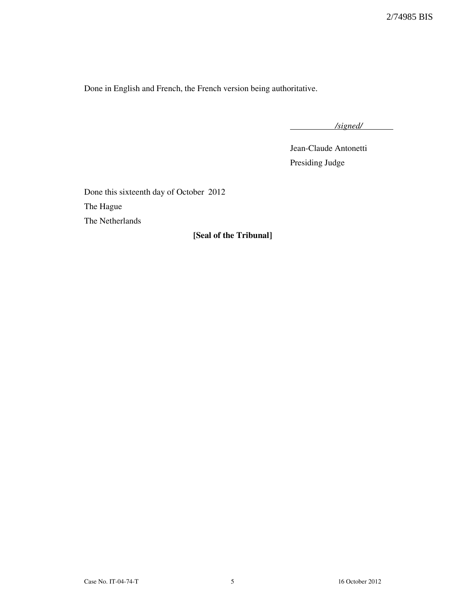Done in English and French, the French version being authoritative.

*/signed/* 

Jean-Claude Antonetti Presiding Judge

Done this sixteenth day of October 2012 The Hague The Netherlands

**₣Seal of the Tribunalğ**